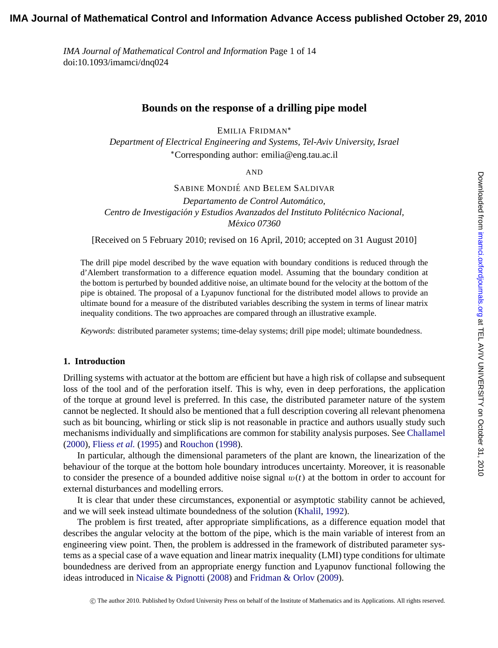# **IMA Journal of Mathematical Control and Information Advance Access published October 29, 2010**

*IMA Journal of Mathematical Control and Information* Page 1 of 14 doi:10.1093/imamci/dnq024

# **Bounds on the response of a drilling pipe model**

EMILIA FRIDMAN∗ *Department of Electrical Engineering and Systems, Tel-Aviv University, Israel* ∗Corresponding author: emilia@eng.tau.ac.il

AND

SABINE MONDIÉ AND BELEM SALDIVAR *Departamento de Control Automatico, ´ Centro de Investigacion y Estudios Avanzados del Instituto Polit ´ ecnico Nacional, ´ Mexico 07360 ´*

[Received on 5 February 2010; revised on 16 April, 2010; accepted on 31 August 2010]

The drill pipe model described by the wave equation with boundary conditions is reduced through the d'Alembert transformation to a difference equation model. Assuming that the boundary condition at the bottom is perturbed by bounded additive noise, an ultimate bound for the velocity at the bottom of the pipe is obtained. The proposal of a Lyapunov functional for the distributed model allows to provide an ultimate bound for a measure of the distributed variables describing the system in terms of linear matrix inequality conditions. The two approaches are compared through an illustrative example.

*Keywords*: distributed parameter systems; time-delay systems; drill pipe model; ultimate boundedness.

# **1. [Int](#page-12-0)r[oduction](#page-12-0)**

Drilling systems with actuator at the bottom are efficient but have a high risk of collapse and subsequent loss of the tool and of the perforation itself. This is why, even in deep perforations, the application of the torque at ground level is preferred. In this case, the distributed parameter nature of the system cannot be neglected. It should also be mentioned that a full description covering all relevant phenomena such as bit bouncing, whirling or stick slip is not reasonable in [practice and](#page-13-0) authors usually study such mechanisms individually and simplifications are common for stability analysis purposes. See Challamel (2000), Fliess *et al.* (1995) and Rouchon (1998).

In particular, although the dimensional parameters of the plant are known, the linearization of the behaviour of the torque at the bottom hole boundary introduces uncertainty. Moreover, it is reasonable to consider the presence of a bounded additive noise signal  $w(t)$  at the bottom in order to account for external disturbanc[es and modelling er](#page-13-0)r[ors.](#page-13-0)

It is clear that under these circumstances, exponential or asymptotic stability cannot be achieved, and we will seek instead ultimate boundedness of the solution (Khalil, 1992).

The problem is first treated, after appropriate simplifications, as a difference equation model that describes the angular velocity at the bottom of the pipe, which is the main variable of interest from an engineering view point. Then, the problem is addressed in the framework of distributed parameter systems as a special case of a wave equation and linear matrix inequality (LMI) type conditions for ultimate boundedness are derived from an appropriate energy function and Lyapunov functional following the ideas introduced in Nicaise & Pignotti (2008) and Fridman & Orlov (2009).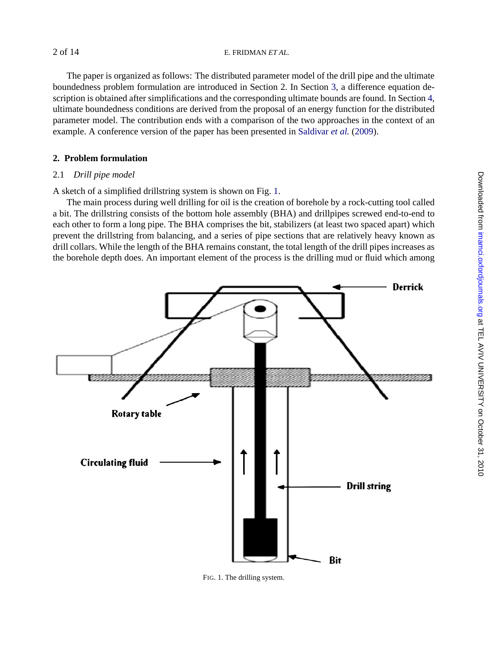The paper is organized as follows: The distributed parameter model of the drill pipe and the ultimate boundedness problem formulation are introduced in Section 2. In Section 3, a difference equation description is obtained after simplifications and the corresponding ultimate bounds are found. In Section 4, ultimate boundedness conditions are derived from the proposal of an energy function for the distributed parameter model. The contribution ends with a comparison of the two approaches in the context of an example. A conference version of the paper has been presented in Saldivar *et al.* (2009).

## **2. Problem formulation**

#### 2.1 *Drill pipe model*

A sketch of a simplified drillstring system is shown on Fig. 1.

The main process during well drilling for oil is the creation of borehole by a rock-cutting tool called a bit. The drillstring consists of the bottom hole assembly (BHA) and drillpipes screwed end-to-end to each other to form a long pipe. The BHA comprises the bit, stabilizers (at least two spaced apart) which prevent the drillstring from balancing, and a series of pipe sections that are relatively heavy known as drill collars. While the length of the BHA remains constant, the total length of the drill pipes increases as the borehole depth does. An important element of the process is the drilling mud or fluid which among



Downloaded from imamci.oxfordjournals.org at TEL AVIV UNIVERSITY on October 31, 2010 [Downloaded from](http://imamci.oxfordjournals.org/) imamci.oxfordjournals.org at TEL AVIV ON NOT ASSITY on OCCOP and imam imam of the S

FIG. 1. The drilling system.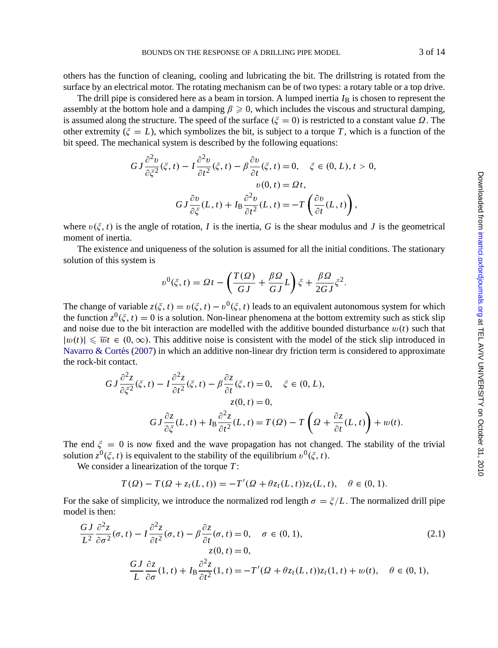others has the function of cleaning, cooling and lubricating the bit. The drillstring is rotated from the surface by an electrical motor. The rotating mechanism can be of two types: a rotary table or a top drive.

The drill pipe is considered here as a beam in torsion. A lumped inertia  $I_B$  is chosen to represent the assembly at the bottom hole and a damping  $\beta \geq 0$ , which includes the viscous and structural damping, is assumed along the structure. The speed of the surface ( $\xi = 0$ ) is restricted to a constant value  $\Omega$ . The other extremity ( $\xi = L$ ), which symbolizes the bit, is subject to a torque *T*, which is a function of the bit speed. The mechanical system is described by the following equations:

$$
GJ \frac{\partial^2 v}{\partial \xi^2}(\xi, t) - I \frac{\partial^2 v}{\partial t^2}(\xi, t) - \beta \frac{\partial v}{\partial t}(\xi, t) = 0, \quad \xi \in (0, L), t > 0,
$$
  

$$
v(0, t) = \Omega t,
$$
  

$$
GJ \frac{\partial v}{\partial \xi}(L, t) + I_B \frac{\partial^2 v}{\partial t^2}(L, t) = -T \left(\frac{\partial v}{\partial t}(L, t)\right),
$$

where  $v(\xi, t)$  is the angle of rotation, *I* is the inertia, *G* is the shear modulus and *J* is the geometrical moment of inertia.

The existence and uniqueness of the solution is assumed for all the initial conditions. The stationary [solution of this sy](#page-13-0)s[tem is](#page-13-0)

$$
v^{0}(\xi, t) = \Omega t - \left(\frac{T(\Omega)}{GJ} + \frac{\beta \Omega}{GJ}L\right)\xi + \frac{\beta \Omega}{2GJ}\xi^{2}.
$$

The change of variable  $z(\xi, t) = v(\xi, t) - v^0(\xi, t)$  leads to an equivalent autonomous system for which the function  $z^0(\xi, t) = 0$  is a solution. Non-linear phenomena at the bottom extremity such as stick slip and noise due to the bit interaction are modelled with the additive bounded disturbance  $w(t)$  such that  $|w(t)| \leq \overline{w}t \in (0,\infty)$ . This additive noise is consistent with the model of the stick slip introduced in Navarro  $\&$  Cortés (2007) in which an additive non-linear dry friction term is considered to approximate the rock-bit contact.

$$
GJ \frac{\partial^2 z}{\partial \xi^2}(\xi, t) - I \frac{\partial^2 z}{\partial t^2}(\xi, t) - \beta \frac{\partial z}{\partial t}(\xi, t) = 0, \quad \xi \in (0, L),
$$
  
\n
$$
z(0, t) = 0,
$$
  
\n
$$
GJ \frac{\partial z}{\partial \xi}(L, t) + I_B \frac{\partial^2 z}{\partial t^2}(L, t) = T(\Omega) - T\left(\Omega + \frac{\partial z}{\partial t}(L, t)\right) + w(t).
$$

The end  $\xi = 0$  is now fixed and the wave propagation has not changed. The stability of the trivial solution  $z^0(\xi, t)$  is equivalent to the stability of the equilibrium  $v^0(\xi, t)$ .

We consider a linearization of the torque *T* :

$$
T(\Omega) - T(\Omega + z_t(L, t)) = -T'(\Omega + \theta z_t(L, t))z_t(L, t), \quad \theta \in (0, 1).
$$

For the sake of simplicity, we introduce the normalized rod length  $\sigma = \zeta/L$ . The normalized drill pipe model is then:

$$
\frac{GJ}{L^2} \frac{\partial^2 z}{\partial \sigma^2}(\sigma, t) - I \frac{\partial^2 z}{\partial t^2}(\sigma, t) - \beta \frac{\partial z}{\partial t}(\sigma, t) = 0, \quad \sigma \in (0, 1),
$$
  
\n
$$
z(0, t) = 0,
$$
  
\n
$$
\frac{GJ}{L} \frac{\partial z}{\partial \sigma}(1, t) + I_B \frac{\partial^2 z}{\partial t^2}(1, t) = -T'(\Omega + \theta z_t(L, t))z_t(1, t) + w(t), \quad \theta \in (0, 1),
$$
  
\n(2.1)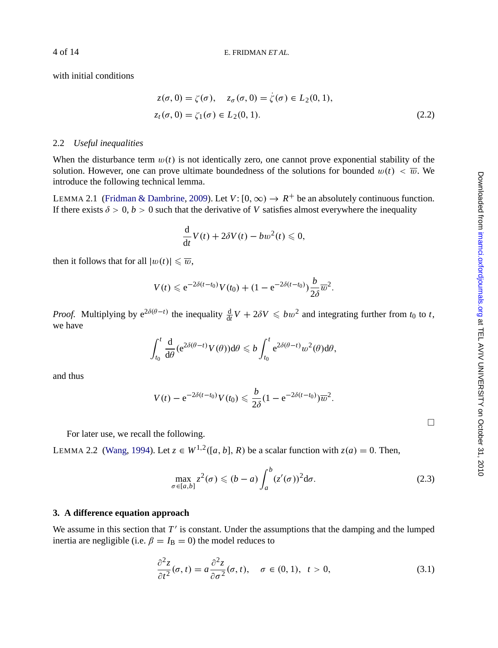with initial conditions

$$
z(\sigma, 0) = \zeta(\sigma), \quad z_{\sigma}(\sigma, 0) = \zeta(\sigma) \in L_2(0, 1),
$$
  
\n
$$
z_t(\sigma, 0) = \zeta_1(\sigma) \in L_2(0, 1).
$$
\n(2.2)

#### 2.2 *Useful inequalities*

When the disturbance term  $w(t)$  is not identically zero, one cannot prove exponential stability of the solution. However, one can prove ultimate boundedness of the solutions for bounded  $w(t) < \overline{w}$ . We introduce the following technical lemma.

LEMMA 2.1 (Fridman & Dambrine, 2009). Let  $V: [0, \infty) \to R^+$  be an absolutely continuous function. If there exists  $\delta > 0$ ,  $b > 0$  such that the derivative of *V* satisfies almost everywhere the inequality

$$
\frac{\mathrm{d}}{\mathrm{d}t}V(t) + 2\delta V(t) - bw^2(t) \leq 0,
$$

then it follows that for all  $|w(t)| \leq \overline{w}$ ,

$$
V(t) \leq e^{-2\delta(t-t_0)} V(t_0) + (1 - e^{-2\delta(t-t_0)}) \frac{b}{2\delta} \overline{w}^2.
$$

*Proof.* Multiplying by  $e^{2\delta(\theta-t)}$  the inequality  $\frac{d}{dt}V + 2\delta V \leq b w^2$  and integrating further from  $t_0$  to  $t$ , we have

$$
\int_{t_0}^t \frac{d}{d\theta} (e^{2\delta(\theta-t)} V(\theta)) d\theta \leq b \int_{t_0}^t e^{2\delta(\theta-t)} w^2(\theta) d\theta,
$$

and thus

$$
V(t)-e^{-2\delta(t-t_0)}V(t_0)\leqslant \frac{b}{2\delta}(1-e^{-2\delta(t-t_0)})\overline{w}^2.
$$

For later use, we recall the following.

LEMMA 2.2 (Wang, 1994). Let  $z \in W^{1,2}([a, b], R)$  be a scalar function with  $z(a) = 0$ . Then,

$$
\max_{\sigma \in [a,b]} z^2(\sigma) \le (b-a) \int_a^b (z'(\sigma))^2 d\sigma.
$$
 (2.3)

## **3. A difference equation approach**

We assume in this section that  $T'$  is constant. Under the assumptions that the damping and the lumped inertia are negligible (i.e.  $\beta = I_B = 0$ ) the model reduces to

$$
\frac{\partial^2 z}{\partial t^2}(\sigma, t) = a \frac{\partial^2 z}{\partial \sigma^2}(\sigma, t), \quad \sigma \in (0, 1), \ t > 0,
$$
\n(3.1)

 $\Box$ 

<span id="page-3-0"></span>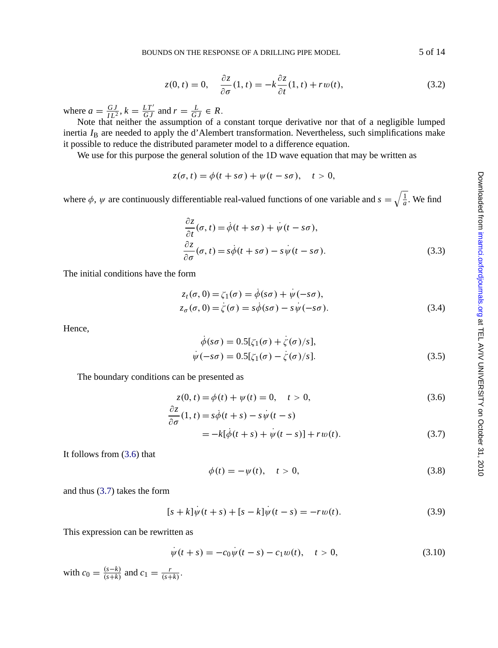<span id="page-4-0"></span>BOUNDS ON THE RESPONSE OF A DRILLING PIPE MODEL 5 of 14

$$
z(0, t) = 0, \quad \frac{\partial z}{\partial \sigma}(1, t) = -k \frac{\partial z}{\partial t}(1, t) + rw(t), \tag{3.2}
$$

where  $a = \frac{GJ}{IL^2}$ ,  $k = \frac{LT'}{GJ}$  and  $r = \frac{L}{GJ} \in R$ .

Note that neither the assumption of a constant torque derivative nor that of a negligible lumped inertia  $I_B$  are needed to apply the d'Alembert transformation. Nevertheless, such simplifications make it possible to reduce the distributed parameter model to a difference equation.

We use for this purpose the general solution of the 1D wave equation that may be written as

$$
z(\sigma, t) = \phi(t + s\sigma) + \psi(t - s\sigma), \quad t > 0,
$$

where  $\phi$ ,  $\psi$  are continuously differentiable real-valued functions of one variable and  $s = \sqrt{\frac{1}{a}}$ . We find

$$
\frac{\partial z}{\partial t}(\sigma, t) = \dot{\phi}(t + s\sigma) + \dot{\psi}(t - s\sigma),
$$
  
\n
$$
\frac{\partial z}{\partial \sigma}(\sigma, t) = s\dot{\phi}(t + s\sigma) - s\dot{\psi}(t - s\sigma).
$$
\n(3.3)

The initial conditions have the form

$$
z_t(\sigma, 0) = \zeta_1(\sigma) = \phi(s\sigma) + \psi(-s\sigma),
$$
  
\n
$$
z_\sigma(\sigma, 0) = \zeta(\sigma) = s\dot{\phi}(s\sigma) - s\dot{\psi}(-s\sigma).
$$
\n(3.4)

 $\overline{a}$ 

Hence,

$$
\dot{\phi}(s\sigma) = 0.5[\zeta_1(\sigma) + \dot{\zeta}(\sigma)/s],
$$

$$
\psi(-s\sigma) = 0.5[\zeta_1(\sigma) - \zeta(\sigma)/s]. \tag{3.5}
$$

The boundary conditions can be presented as

$$
z(0, t) = \phi(t) + \psi(t) = 0, \quad t > 0,
$$
\n(3.6)

$$
\frac{\partial z}{\partial \sigma}(1, t) = s\dot{\phi}(t + s) - s\dot{\psi}(t - s)
$$

$$
= -k[\dot{\phi}(t+s) + \psi(t-s)] + rw(t).
$$
 (3.7)

It follows from (3.6) that

$$
\phi(t) = -\psi(t), \quad t > 0,
$$
\n(3.8)

and thus (3.7) takes the form

$$
[s+k]\psi(t+s) + [s-k]\psi(t-s) = -rw(t).
$$
\n(3.9)

This expression can be rewritten as

$$
\psi(t+s) = -c_0 \psi(t-s) - c_1 w(t), \quad t > 0,
$$
\n(3.10)

with  $c_0 = \frac{(s-k)}{(s+k)}$  and  $c_1 = \frac{r}{(s+k)}$ .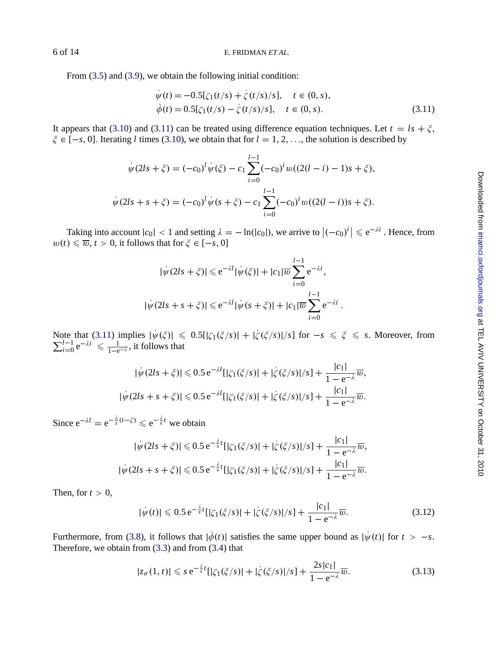From  $(3.5)$  and  $(3.9)$ , we obtain the following initial condition:

$$
\psi(t) = -0.5[\zeta_1(t/s) + \zeta(t/s)/s], \quad t \in (0, s), \n\dot{\phi}(t) = 0.5[\zeta_1(t/s) - \dot{\zeta}(t/s)/s], \quad t \in (0, s).
$$
\n(3.11)

It appears that (3.10) and (3.11) can be treated using difference equation techniques. Let  $t = ls + \xi$ , ξ ∈ [−*s*, 0]. Iterating *l* times (3.10), we obtain that for *l* = 1, 2, . . ., the solution is described by

$$
\dot{\psi}(2ls + \xi) = (-c_0)^l \dot{\psi}(\xi) - c_1 \sum_{i=0}^{l-1} (-c_0)^i w((2(l - i) - 1)s + \xi),
$$
  

$$
\dot{\psi}(2ls + s + \xi) = (-c_0)^l \dot{\psi}(s + \xi) - c_1 \sum_{i=0}^{l-1} (-c_0)^i w((2(l - i))s + \xi).
$$

Taking into account  $|c_0| < 1$  and setting  $\lambda = -\ln(|c_0|)$ , we arrive to  $|(-c_0)^i| \le e^{-\lambda i}$ . Hence, from  $w(t) \leq \overline{w}$ ,  $t > 0$ , it follows that for  $\xi \in [-s, 0]$ 

$$
|\dot{\psi}(2ls + \xi)| \le e^{-\lambda l} |\dot{\psi}(\xi)| + |c_1| \overline{w} \sum_{i=0}^{l-1} e^{-\lambda i},
$$
  

$$
|\dot{\psi}(2ls + s + \xi)| \le e^{-\lambda l} |\dot{\psi}(s + \xi)| + |c_1| \overline{w} \sum_{i=0}^{l-1} e^{-\lambda i}.
$$

Note that (3.11) implies  $|\psi(\xi)| \le 0.5[|\zeta_1(\xi/s)| + |\zeta(\xi/s)|/s]$  for  $-s \le \xi \le s$ . Moreover, from  $\sum_{i=0}^{l-1} e^{-\lambda i} \le \frac{1}{1-e^{-\lambda}}$ , it follows that

$$
|\psi(2ls + \xi)| \leq 0.5 e^{-\lambda l} [|\zeta_1(\xi/s)| + |\zeta(\xi/s)|/s] + \frac{|c_1|}{1 - e^{-\lambda}} \overline{w},
$$
  

$$
|\psi(2ls + s + \xi)| \leq 0.5 e^{-\lambda l} [|\zeta_1(\xi/s)| + |\zeta(\xi/s)|/s] + \frac{|c_1|}{1 - e^{-\lambda}} \overline{w}.
$$

Since  $e^{-\lambda l} = e^{-\frac{\lambda}{s}(t-\xi)} \le e^{-\frac{\lambda}{s}t}$  we obtain

$$
|\psi(2ls + \xi)| \leq 0.5 e^{-\frac{\lambda}{s}t} [|\zeta_1(\xi/s)| + |\zeta(\xi/s)|/s] + \frac{|c_1|}{1 - e^{-\lambda}} \overline{w},
$$
  

$$
|\psi(2ls + s + \xi)| \leq 0.5 e^{-\frac{\lambda}{s}t} [|\zeta_1(\xi/s)| + |\zeta(\xi/s)|/s] + \frac{|c_1|}{1 - e^{-\lambda}} \overline{w}.
$$

Then, for  $t > 0$ ,

$$
|\psi(t)| \leqslant 0.5 \,\mathrm{e}^{-\frac{\lambda}{s}t} [|\zeta_1(\xi/s)| + |\zeta(\xi/s)|/s] + \frac{|c_1|}{1 - \mathrm{e}^{-\lambda}} \overline{w}.\tag{3.12}
$$

Furthermore, from (3.8), it follows that  $|\dot{\phi}(t)|$  satisfies the same upper bound as  $|\dot{\psi}(t)|$  for  $t > -s$ . Therefore, we obtain from (3.3) and from (3.4) that

$$
|z_{\sigma}(1,t)| \leqslant s e^{-\frac{\lambda}{s}t} \left[ |\zeta_1(\zeta/s)| + |\zeta(\zeta/s)|/s \right] + \frac{2s|c_1|}{1 - e^{-\lambda}} \overline{w}.
$$
 (3.13)

<span id="page-5-0"></span>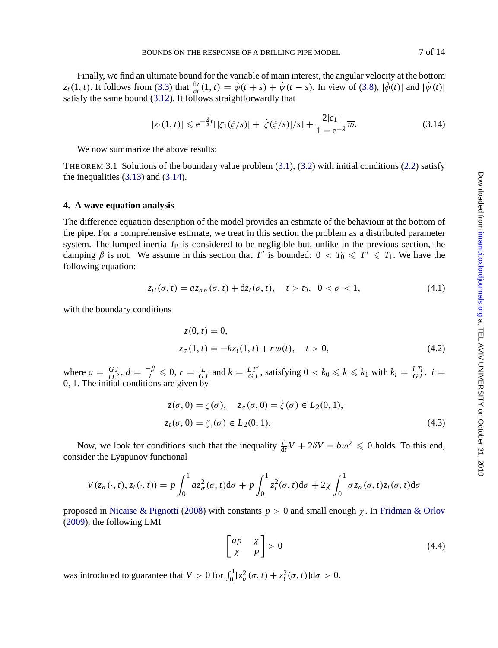<span id="page-6-0"></span>Finally, we find an ultimate bound for the variable of m[ain](#page-3-0) in[tere](#page-4-0)st, the angular velocity at [the](#page-3-0) bottom  $z_t(1, t)$ . It follo[ws fro](#page-5-0)m (3.3) that  $\frac{\partial z}{\partial t}(1, t) = \dot{\phi}(t + s) + \psi(t - s)$ . In view of (3.8),  $|\phi(t)|$  and  $|\psi(t)|$ satisfy the same bound (3.12). It follows straightforwardly that

$$
|z_t(1,t)| \leq e^{-\frac{\lambda}{s}t} \left[ |\zeta_1(\xi/s)| + |\dot{\zeta}(\xi/s)|/s \right] + \frac{2|c_1|}{1 - e^{-\lambda}} \overline{w}.
$$
 (3.14)

We now summarize the above results:

THEOREM 3.1 Solutions of the boundary value problem (3.1), (3.2) with initial conditions (2.2) satisfy the inequalities  $(3.13)$  and  $(3.14)$ .

#### **4. A wave equation analysis**

The difference equation description of the model provides an estimate of the behaviour at the bottom of the pipe. For a comprehensive estimate, we treat in this section the problem as a distributed parameter system. The lumped inertia  $I_B$  is considered to be negligible but, unlike in the previous section, the damping  $\beta$  is not. We assume in this section that *T'* is bounded:  $0 < T_0 \leq T' \leq T_1$ . We have the following equation:

$$
z_{tt}(\sigma, t) = az_{\sigma\sigma}(\sigma, t) + dz_t(\sigma, t), \quad t > t_0, \quad 0 < \sigma < 1,
$$
\n
$$
(4.1)
$$

with the boundary conditions

$$
z(0, t) = 0,
$$
  
\n
$$
z_{\sigma}(1, t) = -kz_t(1, t) + rw(t), \quad t > 0,
$$
\n(4.2)

where  $a = \frac{GJ}{IL^2}$ ,  $d = \frac{-\beta}{I} \le 0$ ,  $r = \frac{L}{GJ}$  and  $k = \frac{LT'}{GJ}$ , satisfying  $0 < k_0 \le k \le k_1$  with  $k_i = \frac{LT_i}{GJ}$ ,  $i =$ 0, 1. The initial conditions are given by

$$
z(\sigma, 0) = \zeta(\sigma), \quad z_{\sigma}(\sigma, 0) = \dot{\zeta}(\sigma) \in L_2(0, 1),
$$
  

$$
z_t(\sigma, 0) = \zeta_1(\sigma) \in L_2(0, 1).
$$
 (4.3)

Now, we look for conditions such that the inequality  $\frac{d}{dt}V + 2\delta V - bw^2 \le 0$  holds. To this end, consider the Lyapunov functional

$$
V(z_{\sigma}(\cdot,t),z_{t}(\cdot,t)) = p \int_0^1 a z_{\sigma}^2(\sigma,t) d\sigma + p \int_0^1 z_t^2(\sigma,t) d\sigma + 2 \chi \int_0^1 \sigma z_{\sigma}(\sigma,t) z_t(\sigma,t) d\sigma
$$

proposed in Nicaise & Pignotti (2008) with constants *p* > 0 and small enough χ. In Fridman & Orlov (2009), the following LMI

$$
\begin{bmatrix} ap & \chi \\ \chi & p \end{bmatrix} > 0 \tag{4.4}
$$

was introduced to guarantee that  $V > 0$  for  $\int_0^1 [z_\sigma^2(\sigma, t) + z_t^2(\sigma, t)]d\sigma > 0$ .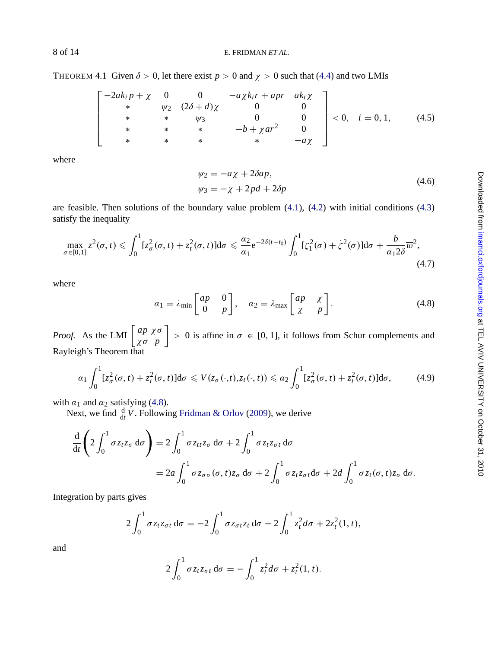THEOREM 4.1 Given  $\delta > 0$ , let there exist  $p > 0$  and  $\chi > 0$  such that (4.4) and two LMIs

$$
\begin{bmatrix}\n-2ak_i p + \chi & 0 & 0 & -a\chi k_i r + apr & ak_i \chi \\
* & \psi_2 & (2\delta + d)\chi & 0 & 0 \\
* & * & \psi_3 & 0 & 0 \\
* & * & * & * & -b + \chi ar^2 & 0 \\
* & * & * & * & * & -a\chi\n\end{bmatrix} < 0, \quad i = 0, 1, \quad (4.5)
$$

where

$$
\begin{aligned} \n\psi_2 &= -a\chi + 2\delta a p, \\ \n\psi_3 &= -\chi + 2pd + 2\delta p \tag{4.6} \n\end{aligned}
$$

are feasible. Then solutions of the boundary value problem (4.1), (4.2) with initial conditions (4.3) satisfy the inequality

$$
\max_{\sigma \in [0,1]} z^2(\sigma, t) \leq \int_0^1 [z_\sigma^2(\sigma, t) + z_t^2(\sigma, t)] d\sigma \leq \frac{\alpha_2}{\alpha_1} e^{-2\delta(t - t_0)} \int_0^1 [\zeta_1^2(\sigma) + \dot{\zeta}^2(\sigma)] d\sigma + \frac{b}{\alpha_1 2\delta} \overline{w}^2,
$$
\n(4.7)

where

$$
\alpha_1 = \lambda_{\min} \begin{bmatrix} ap & 0 \\ 0 & p \end{bmatrix}, \quad \alpha_2 = \lambda_{\max} \begin{bmatrix} ap & \chi \\ \chi & p \end{bmatrix}.
$$
 (4.8)

*Proof.* As the LMI  $\int_{0}^{a} \frac{p}{x^{\sigma}}$ χσ *p* ľ  $> 0$  is affine in  $\sigma \in [0, 1]$ , it follows from Schur complements and Rayleigh's Theorem that

$$
\alpha_1 \int_0^1 [z_\sigma^2(\sigma, t) + z_t^2(\sigma, t)] d\sigma \le V(z_\sigma(\cdot, t), z_t(\cdot, t)) \le \alpha_2 \int_0^1 [z_\sigma^2(\sigma, t) + z_t^2(\sigma, t)] d\sigma, \tag{4.9}
$$

with  $\alpha_1$  and  $\alpha_2$  satisfying (4.8).

Next, we find  $\frac{d}{dt}V$ . Following Fridman & Orlov (2009), we derive

$$
\frac{d}{dt} \left( 2 \int_0^1 \sigma z_t z_\sigma \, d\sigma \right) = 2 \int_0^1 \sigma z_{tt} z_\sigma \, d\sigma + 2 \int_0^1 \sigma z_t z_{\sigma t} \, d\sigma
$$
\n
$$
= 2a \int_0^1 \sigma z_{\sigma \sigma}(\sigma, t) z_\sigma \, d\sigma + 2 \int_0^1 \sigma z_t z_{\sigma t} d\sigma + 2d \int_0^1 \sigma z_t(\sigma, t) z_\sigma \, d\sigma.
$$

Integration by parts gives

$$
2\int_0^1 \sigma z_t z_{\sigma t} d\sigma = -2\int_0^1 \sigma z_{\sigma t} z_t d\sigma - 2\int_0^1 z_t^2 d\sigma + 2z_t^2(1, t),
$$

and

$$
2\int_0^1 \sigma z_t z_{\sigma t} d\sigma = -\int_0^1 z_t^2 d\sigma + z_t^2(1, t).
$$

<span id="page-7-0"></span>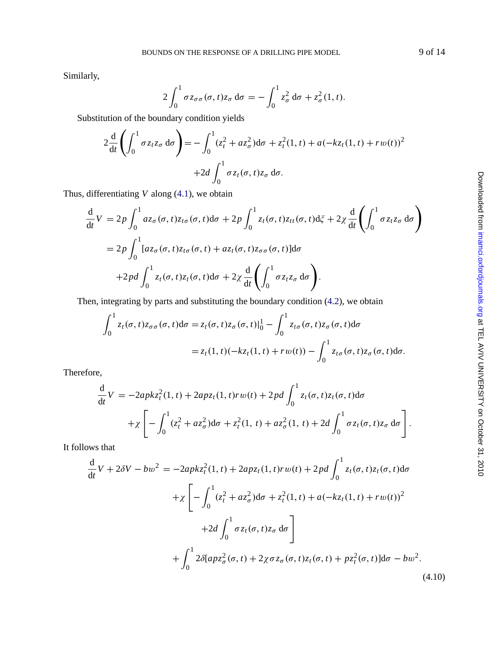Similarly,

$$
2\int_0^1 \sigma z_{\sigma\sigma}(\sigma, t) z_{\sigma} d\sigma = -\int_0^1 z_{\sigma}^2 d\sigma + z_{\sigma}^2(1, t).
$$

Substitution of the boundary condition yields

$$
2\frac{\mathrm{d}}{\mathrm{d}t}\left(\int_0^1 \sigma z_t z_\sigma \,\mathrm{d}\sigma\right) = -\int_0^1 (z_t^2 + az_\sigma^2) \mathrm{d}\sigma + z_t^2 (1, t) + a(-kz_t(1, t) + rw(t))^2
$$

$$
+2d\int_0^1 \sigma z_t(\sigma, t) z_\sigma \,\mathrm{d}\sigma.
$$

Thus, differentiating *V* along (4.1), we obtain

$$
\frac{d}{dt}V = 2p \int_0^1 a z_\sigma(\sigma, t) z_{t\sigma}(\sigma, t) d\sigma + 2p \int_0^1 z_t(\sigma, t) z_{tt}(\sigma, t) d\zeta + 2\chi \frac{d}{dt} \left( \int_0^1 \sigma z_t z_\sigma d\sigma \right)
$$
  
\n
$$
= 2p \int_0^1 [a z_\sigma(\sigma, t) z_{t\sigma}(\sigma, t) + a z_t(\sigma, t) z_{\sigma\sigma}(\sigma, t)] d\sigma
$$
  
\n
$$
+ 2pd \int_0^1 z_t(\sigma, t) z_t(\sigma, t) d\sigma + 2\chi \frac{d}{dt} \left( \int_0^1 \sigma z_t z_\sigma d\sigma \right).
$$

Then, integrating by parts and substituting the boundary condition (4.2), we obtain

$$
\int_0^1 z_t(\sigma, t) z_{\sigma\sigma}(\sigma, t) d\sigma = z_t(\sigma, t) z_{\sigma}(\sigma, t) |_{0}^1 - \int_0^1 z_{t\sigma}(\sigma, t) z_{\sigma}(\sigma, t) d\sigma
$$
  
=  $z_t(1, t) (-kz_t(1, t) + rw(t)) - \int_0^1 z_{t\sigma}(\sigma, t) z_{\sigma}(\sigma, t) d\sigma.$ 

Therefore,

$$
\frac{d}{dt}V = -2apkz_t^2(1, t) + 2apz_t(1, t)rw(t) + 2pd \int_0^1 z_t(\sigma, t)z_t(\sigma, t)d\sigma \n+ \chi \left[ -\int_0^1 (z_t^2 + az_\sigma^2)d\sigma + z_t^2(1, t) + az_\sigma^2(1, t) + 2d \int_0^1 \sigma z_t(\sigma, t)z_\sigma d\sigma \right].
$$

It follows that

$$
\frac{d}{dt}V + 2\delta V - bw^{2} = -2apkz_{t}^{2}(1, t) + 2apz_{t}(1, t)rw(t) + 2pd \int_{0}^{1} z_{t}(\sigma, t)z_{t}(\sigma, t)d\sigma \n+ \chi \left[ -\int_{0}^{1} (z_{t}^{2} + az_{\sigma}^{2})d\sigma + z_{t}^{2}(1, t) + a(-kz_{t}(1, t) + rw(t))^{2} + 2d \int_{0}^{1} \sigma z_{t}(\sigma, t)z_{\sigma} d\sigma \right] \n+ \int_{0}^{1} 2\delta [apz_{\sigma}^{2}(\sigma, t) + 2\chi \sigma z_{\sigma}(\sigma, t)z_{t}(\sigma, t) + pz_{t}^{2}(\sigma, t)]d\sigma - bw^{2}.
$$
\n(4.10)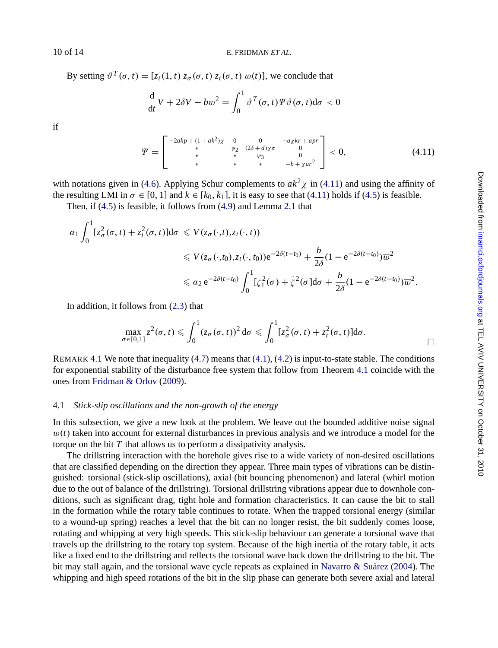By setting  $\vartheta^T(\sigma, t) = [z_t(1, t) z_{\sigma}(\sigma, t) z_t(\sigma, t) w(t)]$ , we conclude that

$$
\frac{\mathrm{d}}{\mathrm{d}t}V + 2\delta V - bw^2 = \int_0^1 \vartheta^T(\sigma, t)\Psi \vartheta(\sigma, t)\mathrm{d}\sigma < 0
$$

if

$$
\Psi = \begin{bmatrix} -2akp + (1+ak^2)\chi & 0 & 0 & -a\chi kr + apr \\ * & \psi_2 & (2\delta + d)\chi\sigma & 0 \\ * & * & \psi_3 & 0 \\ * & * & * & -b + \chi ar^2 \end{bmatrix} < 0, \tag{4.11}
$$

with notations given in (4.6). Applying Schur complements to  $ak^2\chi$  in (4.11) and using the affinity of the resulting LMI in  $\sigma \in [0, 1]$  and  $k \in [k_0, k_1]$ , it is easy to see that (4.11) holds if (4.5) is feasible.

Then, if (4.5) is feasible, it follows from (4.9) and Lemma 2.1 that

$$
\begin{split} \alpha_1 \int_0^1 [z_\sigma^2(\sigma, t) + z_t^2(\sigma, t)] d\sigma &\le V(z_\sigma(\cdot, t), z_t(\cdot, t)) \\ &\le V(z_\sigma(\cdot, t_0), z_t(\cdot, t_0)) e^{-2\delta(t - t_0)} + \frac{b}{2\delta} (1 - e^{-2\delta(t - t_0)}) \overline{w}^2 \\ &\le \alpha_2 e^{-2\delta(t - t_0)} \int_0^1 [\zeta_1^2(\sigma) + \dot{\zeta}^2(\sigma)] d\sigma + \frac{b}{2\delta} (1 - e^{-2\delta(t - t_0)}) \overline{w}^2. \end{split}
$$

In addition, it follows from (2.3) that

$$
\max_{\sigma\in[0,1]} z^2(\sigma,t) \leqslant \int_0^1 (z_\sigma(\sigma,t))^2 d\sigma \leqslant \int_0^1 [z_\sigma^2(\sigma,t) + z_t^2(\sigma,t)] d\sigma.
$$

REMARK 4.1 We note that inequality  $(4.7)$  means that  $(4.1)$ ,  $(4.2)$  is input-to-state stable. The conditions for exponential stability of the disturbance free system that follow from Theorem 4.1 coincide with the ones from Fridman & Orlov (2009).

#### 4.1 *Stick-slip oscillations and the non-growth of the energy*

In this subsection, we give a new look at the problem. We leave out the bounded additive noise signal  $w(t)$  taken into account for external disturbances in previous analysis and we introduce a model for the torque on the bit *T* that allows us to perform a dissipativity analysis.

The drillstring interaction with the borehole gives rise to a wide variety of non-desired oscillations that are classified depending on the direction they appear. Three main types of vibrations can be distinguished: torsional (stick-slip oscillations), axial (bit bouncing phenome[non\) and lateral \(whirl m](#page-13-0)otion due to the out of balance of the drillstring). Torsional drillstring vibrations appear due to downhole conditions, such as significant drag, tight hole and formation characteristics. It can cause the bit to stall in the formation while the rotary table continues to rotate. When the trapped torsional energy (similar to a wound-up spring) reaches a level that the bit can no longer resist, the bit suddenly comes loose, rotating and whipping at very high speeds. This stick-slip behaviour can generate a torsional wave that travels up the drillstring to the rotary top system. Because of the high inertia of the rotary table, it acts like a fixed end to the drillstring and reflects the torsional wave back down the drillstring to the bit. The bit may stall again, and the torsional wave cycle repeats as explained in Navarro  $\&$  Suárez (2004). The whipping and high speed rotations of the bit in the slip phase can generate both severe axial and lateral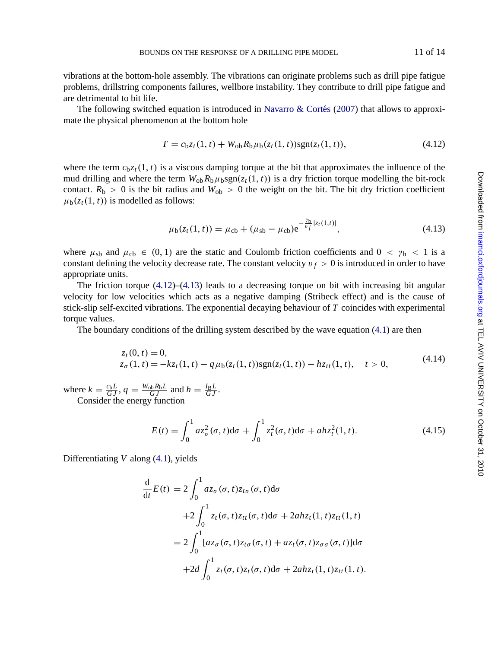vibrations at the bottom-hole assembly. The vibrations can originate problems such as drill pipe fatigue problems, drillstring components failures, wellbore instability. They contribute to drill pipe fatigue and are detrimental to bit life.

The following switched equation is introduced in Navarro  $\&$  Cortés (2007) that allows to approximate the physical phenomenon at the bottom hole

$$
T = c_b z_t(1, t) + W_{ob} R_b \mu_b(z_t(1, t)) \text{sgn}(z_t(1, t)), \qquad (4.12)
$$

where the term  $c_bz_t(1, t)$  is a viscous damping torque at the bit that approximates the influence of the mud drilling and where the term  $W_{ob}R_b\mu_b sgn(z_t(1, t))$  is a dry friction torque modelling the bit-rock contact.  $R_b > 0$  is the bit radius and  $W_{ob} > 0$  the weight on the bit. The bit dry friction coefficient  $\mu_b(z_t(1, t))$  is modelled as follows:

$$
\mu_{\mathbf{b}}(z_t(1,t)) = \mu_{\mathbf{c}\mathbf{b}} + (\mu_{\mathbf{s}\mathbf{b}} - \mu_{\mathbf{c}\mathbf{b}}) e^{-\frac{\gamma_{\mathbf{b}}}{v_f}|z_t(1,t)|},\tag{4.13}
$$

where  $\mu_{sb}$  and  $\mu_{cb} \in (0, 1)$  are the static and Coulomb friction coefficients and  $0 < \gamma_b < 1$  is a constant defining the velocity decrease rate. The constant velocity  $v_f > 0$  is introduced in order to have appropriate units.

The friction torque  $(4.12)$ – $(4.13)$  leads to a decreasing torque on bit with increasing bit angular velocity for low velocities which acts as a negative damping (Stribeck effect) and is the cause of stick-slip self-excited vibrations. The exponential decaying behaviour of *T* coincides with experimental torque values.

The boundary conditions of the drilling system described by the wave equation  $(4.1)$  are then

$$
z_t(0, t) = 0,
$$
  
\n
$$
z_\sigma(1, t) = -kz_t(1, t) - q\mu_b(z_t(1, t))\text{sgn}(z_t(1, t)) - hz_{tt}(1, t), \quad t > 0,
$$
\n(4.14)

where  $k = \frac{c_b L}{GJ}$ ,  $q = \frac{W_{ob} R_b L}{GJ}$  and  $h = \frac{I_B L}{GJ}$ . Consider the energy function

$$
E(t) = \int_0^1 a z_\sigma^2(\sigma, t) d\sigma + \int_0^1 z_t^2(\sigma, t) d\sigma + a h z_t^2(1, t).
$$
 (4.15)

Differentiating *V* along (4.1), yields

$$
\frac{d}{dt}E(t) = 2 \int_0^1 a z_\sigma(\sigma, t) z_{t\sigma}(\sigma, t) d\sigma \n+2 \int_0^1 z_t(\sigma, t) z_{t\sigma}(\sigma, t) d\sigma + 2ah z_t(1, t) z_{t\sigma}(1, t) \n= 2 \int_0^1 [a z_\sigma(\sigma, t) z_{t\sigma}(\sigma, t) + a z_t(\sigma, t) z_{\sigma\sigma}(\sigma, t)] d\sigma \n+2d \int_0^1 z_t(\sigma, t) z_t(\sigma, t) d\sigma + 2ah z_t(1, t) z_{t\sigma}(1, t).
$$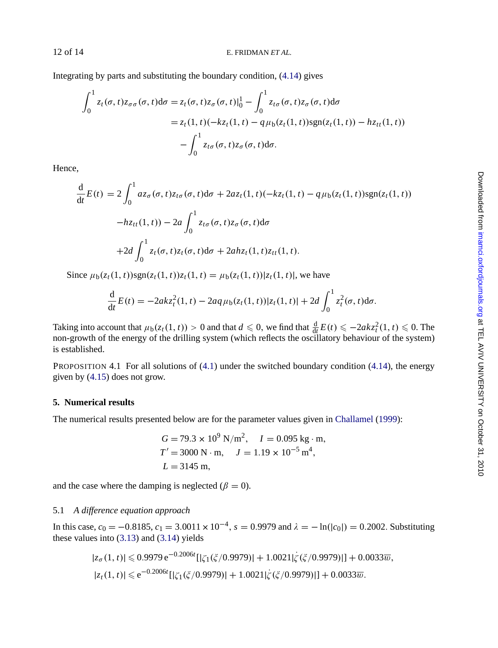Integrating by parts and substituting the boundary condition, (4.14) gives

$$
\int_0^1 z_t(\sigma, t) z_{\sigma\sigma}(\sigma, t) d\sigma = z_t(\sigma, t) z_{\sigma}(\sigma, t) |_{0}^1 - \int_0^1 z_{t\sigma}(\sigma, t) z_{\sigma}(\sigma, t) d\sigma
$$
  

$$
= z_t(1, t) (-kz_t(1, t) - q\mu_b(z_t(1, t)) \text{sgn}(z_t(1, t)) - hz_{tt}(1, t))
$$

$$
- \int_0^1 z_{t\sigma}(\sigma, t) z_{\sigma}(\sigma, t) d\sigma.
$$

Hence,

$$
\frac{d}{dt}E(t) = 2\int_0^1 a z_\sigma(\sigma, t) z_{t\sigma}(\sigma, t) d\sigma + 2az_t(1, t)(-kz_t(1, t) - q\mu_b(z_t(1, t))sgn(z_t(1, t))\n- h z_{t}(1, t)) - 2a \int_0^1 z_{t\sigma}(\sigma, t) z_\sigma(\sigma, t) d\sigma\n+2d \int_0^1 z_t(\sigma, t) z_t(\sigma, t) d\sigma + 2ah z_t(1, t) z_{t}(1, t).
$$

Since  $\mu_b(z_t(1, t))$ sgn $(z_t(1, t))z_t(1, t) = \mu_b(z_t(1, t))|z_t(1, t)|$  $(z_t(1, t))z_t(1, t) = \mu_b(z_t(1, t))|z_t(1, t)|$  $(z_t(1, t))z_t(1, t) = \mu_b(z_t(1, t))|z_t(1, t)|$ , we have

$$
\frac{d}{dt}E(t) = -2akz_t^2(1,t) - 2aq\mu_b(z_t(1,t))|z_t(1,t)| + 2d\int_0^1 z_t^2(\sigma,t)d\sigma.
$$

Taking into account that  $\mu_b(z_t(1, t)) > 0$  $\mu_b(z_t(1, t)) > 0$  $\mu_b(z_t(1, t)) > 0$  and that  $d \leq 0$ , we find that  $\frac{d}{dt}E(t) \leq -2akz_t^2(1, t) \leq 0$ . The non-growth of the energy of the drilling system (which reflects the oscillatory behaviour of the system) is established.

PROPOSITION 4.1 For all solutions of (4.1) under the switched boundary condition (4.14), the energy given by (4.15) does not grow.

## **5. Numerical results**

The numerical results presented below are for the parameter values given in Challamel (1999):

$$
G = 79.3 \times 10^{9} \text{ N/m}^{2}, \quad I = 0.095 \text{ kg} \cdot \text{m},
$$
  
\n
$$
T' = 3000 \text{ N} \cdot \text{m}, \quad J = 1.19 \times 10^{-5} \text{ m}^{4},
$$
  
\n
$$
L = 3145 \text{ m},
$$

and the case where the damping is neglected ( $\beta = 0$ ).

# 5.1 *A difference equation approach*

In this case,  $c_0 = -0.8185$ ,  $c_1 = 3.0011 \times 10^{-4}$ ,  $s = 0.9979$  and  $\lambda = -\ln(|c_0|) = 0.2002$ . Substituting these values into  $(3.13)$  and  $(3.14)$  yields

$$
|z_{\sigma}(1,t)| \leq 0.9979 e^{-0.2006t} [|\zeta_1(\xi/0.9979)| + 1.0021 |\dot{\zeta}(\xi/0.9979)|] + 0.0033\overline{w},
$$
  

$$
|z_t(1,t)| \leq e^{-0.2006t} [|\zeta_1(\xi/0.9979)| + 1.0021 |\dot{\zeta}(\xi/0.9979)|] + 0.0033\overline{w}.
$$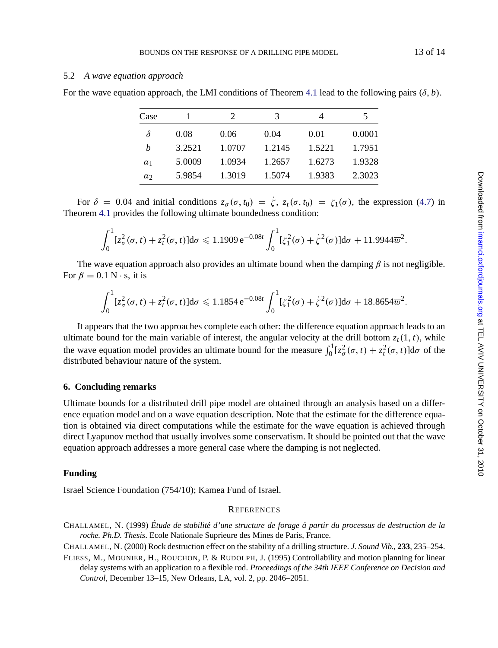#### <span id="page-12-0"></span>5.2 *A wave equation approach*

For the wave equation approach, the LMI conditions of Theorem 4.1 lead to the following pairs  $(\delta, b)$ .

| Case       |        | 2      | 3      | 4      | 5      |
|------------|--------|--------|--------|--------|--------|
| δ          | 0.08   | 0.06   | 0.04   | 0.01   | 0.0001 |
| h          | 3.2521 | 1.0707 | 1.2145 | 1.5221 | 1.7951 |
| $\alpha_1$ | 5.0009 | 1.0934 | 1.2657 | 1.6273 | 1.9328 |
| $\alpha$   | 5.9854 | 1.3019 | 1.5074 | 1.9383 | 2.3023 |

For  $\delta = 0.04$  and initial conditions  $z_{\sigma}(\sigma, t_0) = \zeta$ ,  $z_t(\sigma, t_0) = \zeta_1(\sigma)$ , the expression (4.7) in Theorem 4.1 provides the following ultimate boundedness condition:

$$
\int_0^1 [z_\sigma^2(\sigma, t) + z_t^2(\sigma, t)] d\sigma \leq 1.1909 e^{-0.08t} \int_0^1 [\zeta_1^2(\sigma) + \dot{\zeta}^2(\sigma)] d\sigma + 11.9944 \overline{w}^2.
$$

The wave equation approach also provides an ultimate bound when the damping  $\beta$  is not negligible. For  $\beta = 0.1$  N ⋅ s, it is

$$
\int_0^1 [z_\sigma^2(\sigma, t) + z_t^2(\sigma, t)] d\sigma \leq 1.1854 e^{-0.08t} \int_0^1 [\zeta_1^2(\sigma) + \dot{\zeta}^2(\sigma)] d\sigma + 18.8654 \overline{w}^2.
$$

It appears that the two approaches complete each other: the difference equation approach leads to an ultimate bound for the main variable of interest, the angular velocity at the drill bottom  $z_t(1, t)$ , while the wave equation model provides an ultimate bound for the measure  $\int_0^1 [z_\sigma^2(\sigma, t) + z_t^2(\sigma, t)]d\sigma$  of the distributed behaviour nature of the system.

## **6. Concluding remarks**

Ultimate bounds for a distributed drill pipe model are obtained through an analysis based on a difference equation model and on a wave equation description. Note that the estimate for the difference equation is obtained via direct computations while the estimate for the wave equation is achieved through direct Lyapunov method that usually involves some conservatism. It should be pointed out that the wave equation approach addresses a more general case where the damping is not neglected.

# **Funding**

Israel Science Foundation (754/10); Kamea Fund of Israel.

# **REFERENCES**

CHALLAMEL, N. (1999) *Etude de stabilit ´ e d'une structure de forage ´ a partir du processus de destruction de la ´ roche. Ph.D. Thesis*. Ecole Nationale Suprieure des Mines de Paris, France.

CHALLAMEL, N. (2000) Rock destruction effect on the stability of a drilling structure. *J. Sound Vib.*, **233**, 235–254.

FLIESS, M., MOUNIER, H., ROUCHON, P. & RUDOLPH, J. (1995) Controllability and motion planning for linear delay systems with an application to a flexible rod. *Proceedings of the 34th IEEE Conference on Decision and Control*, December 13–15, New Orleans, LA, vol. 2, pp. 2046–2051.